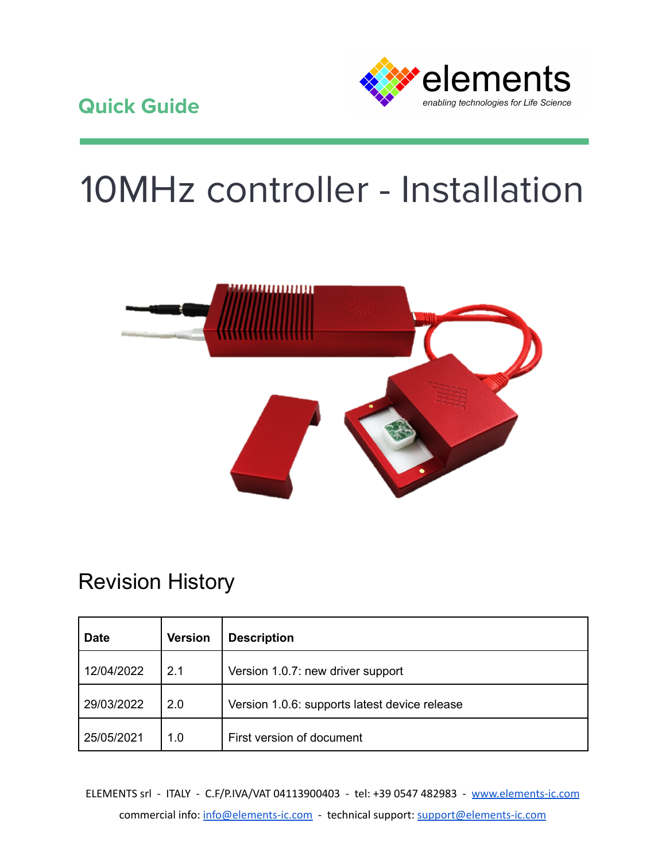

# 10MHz controller - Installation



# Revision History

| <b>Date</b> | <b>Version</b> | <b>Description</b>                            |
|-------------|----------------|-----------------------------------------------|
| 12/04/2022  | 2.1            | Version 1.0.7: new driver support             |
| 29/03/2022  | 2.0            | Version 1.0.6: supports latest device release |
| 25/05/2021  | 1.0            | First version of document                     |

ELEMENTS srl - ITALY - C.F/P.IVA/VAT 04113900403 - tel: +39 0547 482983 - [www.elements-ic.com](http://www.elements-ic.com) commercial info: [info@elements-ic.com](mailto:info@elements-ic.com) - technical support: [support@elements-ic.com](mailto:support@elements-ic.com)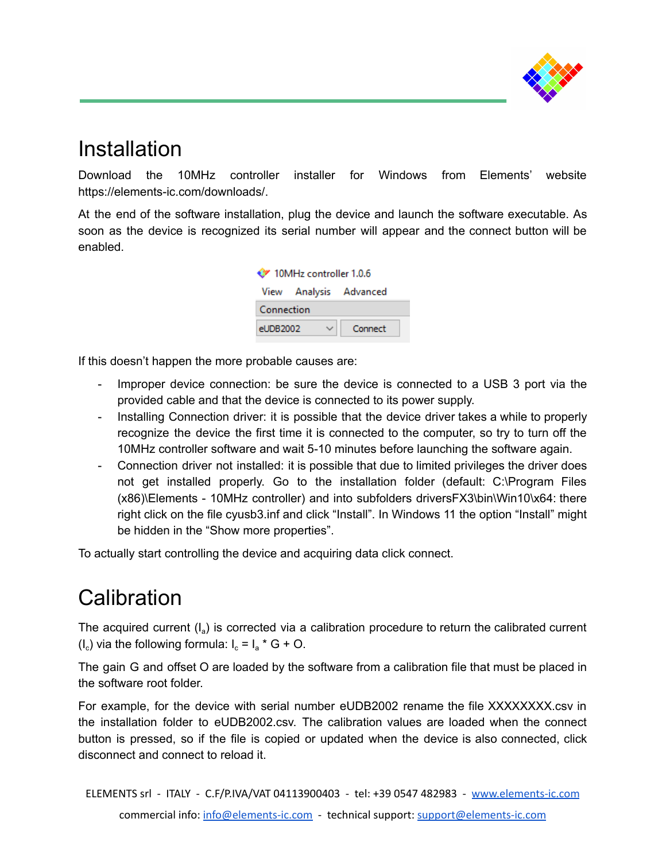

### Installation

Download the 10MHz controller installer for Windows from Elements' website https://elements-ic.com/downloads/.

At the end of the software installation, plug the device and launch the software executable. As soon as the device is recognized its serial number will appear and the connect button will be enabled.

| 10MHz controller 1.0.6 |  |                        |  |  |  |
|------------------------|--|------------------------|--|--|--|
|                        |  | View Analysis Advanced |  |  |  |
| Connection             |  |                        |  |  |  |
| eUDB2002               |  | Connect                |  |  |  |
|                        |  |                        |  |  |  |

If this doesn't happen the more probable causes are:

- Improper device connection: be sure the device is connected to a USB 3 port via the provided cable and that the device is connected to its power supply.
- Installing Connection driver: it is possible that the device driver takes a while to properly recognize the device the first time it is connected to the computer, so try to turn off the 10MHz controller software and wait 5-10 minutes before launching the software again.
- Connection driver not installed: it is possible that due to limited privileges the driver does not get installed properly. Go to the installation folder (default: C:\Program Files (x86)\Elements - 10MHz controller) and into subfolders driversFX3\bin\Win10\x64: there right click on the file cyusb3.inf and click "Install". In Windows 11 the option "Install" might be hidden in the "Show more properties".

To actually start controlling the device and acquiring data click connect.

# **Calibration**

The acquired current  $(I_a)$  is corrected via a calibration procedure to return the calibrated current  $(I_c)$  via the following formula:  $I_c = I_a * G + O$ .

The gain G and offset O are loaded by the software from a calibration file that must be placed in the software root folder.

For example, for the device with serial number eUDB2002 rename the file XXXXXXXX.csv in the installation folder to eUDB2002.csv. The calibration values are loaded when the connect button is pressed, so if the file is copied or updated when the device is also connected, click disconnect and connect to reload it.